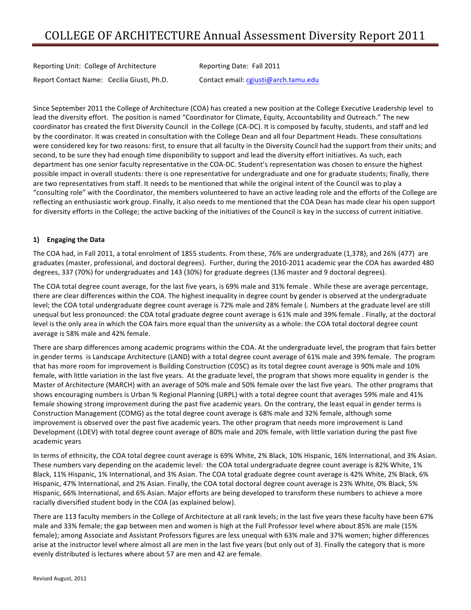Reporting Unit: College of Architecture **Reporting Date: Fall 2011** Report Contact Name: Cecilia Giusti, Ph.D. Contact email: cgiusti@arch.tamu.edu

Since September 2011 the College of Architecture (COA) has created a new position at the College Executive Leadership level to lead the diversity effort. The position is named "Coordinator for Climate, Equity, Accountability and Outreach." The new coordinator has created the first Diversity Council in the College (CA-DC). It is composed by faculty, students, and staff and led by the coordinator. It was created in consultation with the College Dean and all four Department Heads. These consultations were considered key for two reasons: first, to ensure that all faculty in the Diversity Council had the support from their units; and second, to be sure they had enough time disponibility to support and lead the diversity effort initiatives. As such, each department has one senior faculty representative in the COA-DC. Student's representation was chosen to ensure the highest possible impact in overall students: there is one representative for undergraduate and one for graduate students; finally, there are two representatives from staff. It needs to be mentioned that while the original intent of the Council was to play a "consulting role" with the Coordinator, the members volunteered to have an active leading role and the efforts of the College are reflecting an enthusiastic work group. Finally, it also needs to me mentioned that the COA Dean has made clear his open support for diversity efforts in the College; the active backing of the initiatives of the Council is key in the success of current initiative.

## **1) Engaging the Data**

The COA had, in Fall 2011, a total enrolment of 1855 students. From these, 76% are undergraduate (1,378), and 26% (477) are graduates (master, professional, and doctoral degrees). Further, during the 2010-2011 academic year the COA has awarded 480 degrees, 337 (70%) for undergraduates and 143 (30%) for graduate degrees (136 master and 9 doctoral degrees).

The COA total degree count average, for the last five years, is 69% male and 31% female . While these are average percentage, there are clear differences within the COA. The highest inequality in degree count by gender is observed at the undergraduate level; the COA total undergraduate degree count average is 72% male and 28% female (. Numbers at the graduate level are still unequal but less pronounced: the COA total graduate degree count average is 61% male and 39% female . Finally, at the doctoral level is the only area in which the COA fairs more equal than the university as a whole: the COA total doctoral degree count average is 58% male and 42% female.

There are sharp differences among academic programs within the COA. At the undergraduate level, the program that fairs better in gender terms is Landscape Architecture (LAND) with a total degree count average of 61% male and 39% female. The program that has more room for improvement is Building Construction (COSC) as its total degree count average is 90% male and 10% female, with little variation in the last five years. At the graduate level, the program that shows more equality in gender is the Master of Architecture (MARCH) with an average of 50% male and 50% female over the last five years. The other programs that shows encouraging numbers is Urban % Regional Planning (URPL) with a total degree count that averages 59% male and 41% female showing strong improvement during the past five academic years. On the contrary, the least equal in gender terms is Construction Management (COMG) as the total degree count average is 68% male and 32% female, although some improvement is observed over the past five academic years. The other program that needs more improvement is Land Development (LDEV) with total degree count average of 80% male and 20% female, with little variation during the past five academic years

In terms of ethnicity, the COA total degree count average is 69% White, 2% Black, 10% Hispanic, 16% International, and 3% Asian. These numbers vary depending on the academic level: the COA total undergraduate degree count average is 82% White, 1% Black, 11% Hispanic, 1% International, and 3% Asian. The COA total graduate degree count average is 42% White, 2% Black, 6% Hispanic, 47% International, and 2% Asian. Finally, the COA total doctoral degree count average is 23% White, 0% Black, 5% Hispanic, 66% International, and 6% Asian. Major efforts are being developed to transform these numbers to achieve a more racially diversified student body in the COA (as explained below).

There are 113 faculty members in the College of Architecture at all rank levels; in the last five years these faculty have been 67% male and 33% female; the gap between men and women is high at the Full Professor level where about 85% are male (15% female); among Associate and Assistant Professors figures are less unequal with 63% male and 37% women; higher differences arise at the instructor level where almost all are men in the last five years (but only out of 3). Finally the category that is more evenly distributed is lectures where about 57 are men and 42 are female.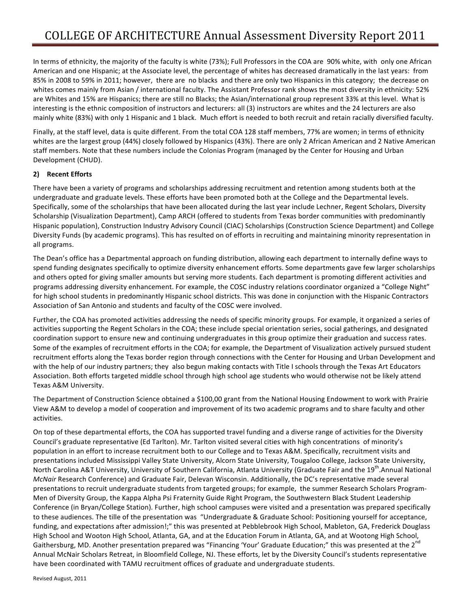In terms of ethnicity, the majority of the faculty is white (73%); Full Professors in the COA are 90% white, with only one African American and one Hispanic; at the Associate level, the percentage of whites has decreased dramatically in the last years: from 85% in 2008 to 59% in 2011; however, there are no blacks and there are only two Hispanics in this category; the decrease on whites comes mainly from Asian / international faculty. The Assistant Professor rank shows the most diversity in ethnicity: 52% are Whites and 15% are Hispanics; there are still no Blacks; the Asian/international group represent 33% at this level. What is interesting is the ethnic composition of instructors and lecturers: all (3) instructors are whites and the 24 lecturers are also mainly white (83%) with only 1 Hispanic and 1 black. Much effort is needed to both recruit and retain racially diversified faculty.

Finally, at the staff level, data is quite different. From the total COA 128 staff members, 77% are women; in terms of ethnicity whites are the largest group (44%) closely followed by Hispanics (43%). There are only 2 African American and 2 Native American staff members. Note that these numbers include the Colonias Program (managed by the Center for Housing and Urban Development (CHUD).

## **2) Recent Efforts**

There have been a variety of programs and scholarships addressing recruitment and retention among students both at the undergraduate and graduate levels. These efforts have been promoted both at the College and the Departmental levels. Specifically, some of the scholarships that have been allocated during the last year include Lechner, Regent Scholars, Diversity Scholarship (Visualization Department), Camp ARCH (offered to students from Texas border communities with predominantly Hispanic population), Construction Industry Advisory Council (CIAC) Scholarships (Construction Science Department) and College Diversity Funds (by academic programs). This has resulted on of efforts in recruiting and maintaining minority representation in all programs.

The Dean's office has a Departmental approach on funding distribution, allowing each department to internally define ways to spend funding designates specifically to optimize diversity enhancement efforts. Some departments gave few larger scholarships and others opted for giving smaller amounts but serving more students. Each department is promoting different activities and programs addressing diversity enhancement. For example, the COSC industry relations coordinator organized a "College Night" for high school students in predominantly Hispanic school districts. This was done in conjunction with the Hispanic Contractors Association of San Antonio and students and faculty of the COSC were involved.

Further, the COA has promoted activities addressing the needs of specific minority groups. For example, it organized a series of activities supporting the Regent Scholars in the COA; these include special orientation series, social gatherings, and designated coordination support to ensure new and continuing undergraduates in this group optimize their graduation and success rates. Some of the examples of recruitment efforts in the COA; for example, the Department of Visualization actively pursued student recruitment efforts along the Texas border region through connections with the Center for Housing and Urban Development and with the help of our industry partners; they also begun making contacts with Title I schools through the Texas Art Educators Association. Both efforts targeted middle school through high school age students who would otherwise not be likely attend Texas A&M University.

The Department of Construction Science obtained a \$100,00 grant from the National Housing Endowment to work with Prairie View A&M to develop a model of cooperation and improvement of its two academic programs and to share faculty and other activities. 

On top of these departmental efforts, the COA has supported travel funding and a diverse range of activities for the Diversity Council's graduate representative (Ed Tarlton). Mr. Tarlton visited several cities with high concentrations of minority's population in an effort to increase recruitment both to our College and to Texas A&M. Specifically, recruitment visits and presentations included Mississippi Valley State University, Alcorn State University, Tougaloo College, Jackson State University, North Carolina A&T University, University of Southern California, Atlanta University (Graduate Fair and the 19<sup>th</sup>.Annual National *McNair* Research Conference) and Graduate Fair, Delevan Wisconsin. Additionally, the DC's representative made several presentations to recruit undergraduate students from targeted groups; for example, the summer Research Scholars Program-Men of Diversity Group, the Kappa Alpha Psi Fraternity Guide Right Program, the Southwestern Black Student Leadership Conference (in Bryan/College Station). Further, high school campuses were visited and a presentation was prepared specifically to these audiences. The tille of the presentation was "Undergraduate & Graduate School: Positioning yourself for acceptance, funding, and expectations after admission!;" this was presented at Pebblebrook High School, Mableton, GA, Frederick Douglass High School and Wooton High School, Atlanta, GA, and at the Education Forum in Atlanta, GA, and at Wootong High School, Gaithersburg, MD. Another presentation prepared was "Financing 'Your' Graduate Education;" this was presented at the 2<sup>nd</sup> Annual McNair Scholars Retreat, in Bloomfield College, NJ. These efforts, let by the Diversity Council's students representative have been coordinated with TAMU recruitment offices of graduate and undergraduate students.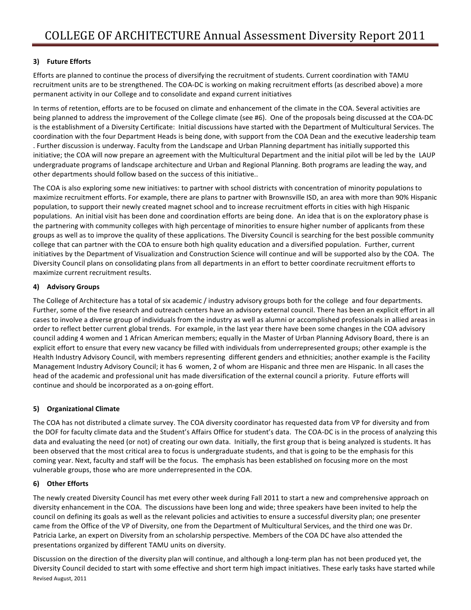# **3) Future Efforts**

Efforts are planned to continue the process of diversifying the recruitment of students. Current coordination with TAMU recruitment units are to be strengthened. The COA-DC is working on making recruitment efforts (as described above) a more permanent activity in our College and to consolidate and expand current initiatives

In terms of retention, efforts are to be focused on climate and enhancement of the climate in the COA. Several activities are being planned to address the improvement of the College climate (see #6). One of the proposals being discussed at the COA-DC is the establishment of a Diversity Certificate: Initial discussions have started with the Department of Multicultural Services. The coordination with the four Department Heads is being done, with support from the COA Dean and the executive leadership team . Further discussion is underway. Faculty from the Landscape and Urban Planning department has initially supported this initiative; the COA will now prepare an agreement with the Multicultural Department and the initial pilot will be led by the LAUP undergraduate programs of landscape architecture and Urban and Regional Planning. Both programs are leading the way, and other departments should follow based on the success of this initiative..

The COA is also exploring some new initiatives: to partner with school districts with concentration of minority populations to maximize recruitment efforts. For example, there are plans to partner with Brownsville ISD, an area with more than 90% Hispanic population, to support their newly created magnet school and to increase recruitment efforts in cities with high Hispanic populations. An initial visit has been done and coordination efforts are being done. An idea that is on the exploratory phase is the partnering with community colleges with high percentage of minorities to ensure higher number of applicants from these groups as well as to improve the quality of these applications. The Diversity Council is searching for the best possible community college that can partner with the COA to ensure both high quality education and a diversified population. Further, current initiatives by the Department of Visualization and Construction Science will continue and will be supported also by the COA. The Diversity Council plans on consolidating plans from all departments in an effort to better coordinate recruitment efforts to maximize current recruitment results.

## **4) Advisory Groups**

The College of Architecture has a total of six academic / industry advisory groups both for the college and four departments. Further, some of the five research and outreach centers have an advisory external council. There has been an explicit effort in all cases to involve a diverse group of individuals from the industry as well as alumni or accomplished professionals in allied areas in order to reflect better current global trends. For example, in the last year there have been some changes in the COA advisory council adding 4 women and 1 African American members; equally in the Master of Urban Planning Advisory Board, there is an explicit effort to ensure that every new vacancy be filled with individuals from underrepresented groups; other example is the Health Industry Advisory Council, with members representing different genders and ethnicities; another example is the Facility Management Industry Advisory Council; it has 6 women, 2 of whom are Hispanic and three men are Hispanic. In all cases the head of the academic and professional unit has made diversification of the external council a priority. Future efforts will continue and should be incorporated as a on-going effort.

## **5) Organizational Climate**

The COA has not distributed a climate survey. The COA diversity coordinator has requested data from VP for diversity and from the DOF for faculty climate data and the Student's Affairs Office for student's data. The COA-DC is in the process of analyzing this data and evaluating the need (or not) of creating our own data. Initially, the first group that is being analyzed is students. It has been observed that the most critical area to focus is undergraduate students, and that is going to be the emphasis for this coming year. Next, faculty and staff will be the focus. The emphasis has been established on focusing more on the most vulnerable groups, those who are more underrepresented in the COA.

## **6) Other Efforts**

The newly created Diversity Council has met every other week during Fall 2011 to start a new and comprehensive approach on diversity enhancement in the COA. The discussions have been long and wide; three speakers have been invited to help the council on defining its goals as well as the relevant policies and activities to ensure a successful diversity plan; one presenter came from the Office of the VP of Diversity, one from the Department of Multicultural Services, and the third one was Dr. Patricia Larke, an expert on Diversity from an scholarship perspective. Members of the COA DC have also attended the presentations organized by different TAMU units on diversity.

Revised August, 2011 Discussion on the direction of the diversity plan will continue, and although a long-term plan has not been produced yet, the Diversity Council decided to start with some effective and short term high impact initiatives. These early tasks have started while